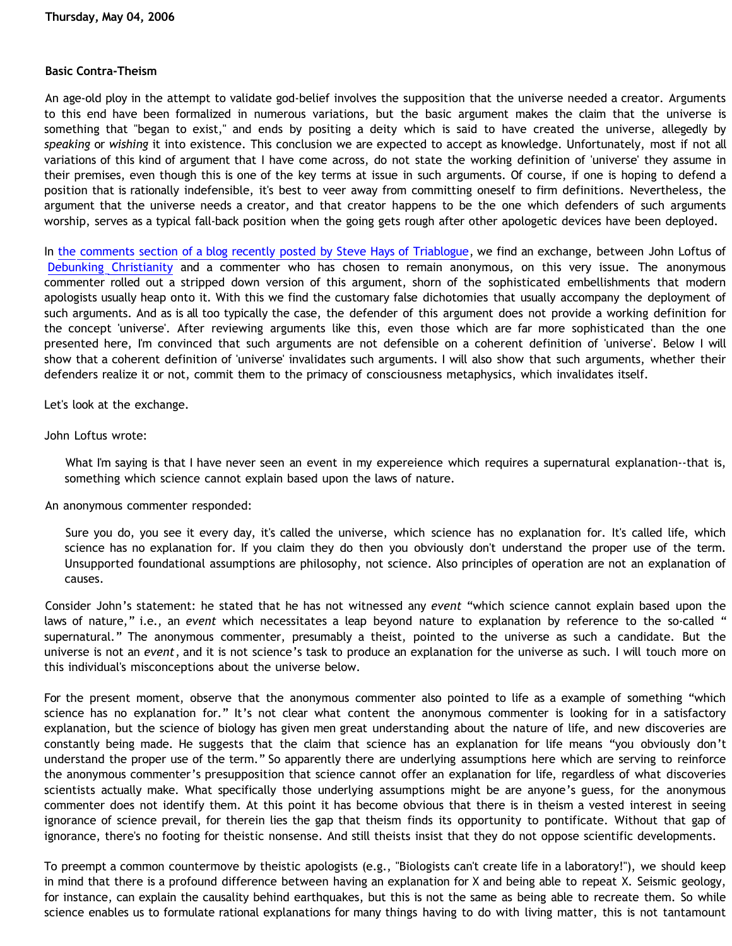## **Basic Contra-Theism**

An age-old ploy in the attempt to validate god-belief involves the supposition that the universe needed a creator. Arguments to this end have been formalized in numerous variations, but the basic argument makes the claim that the universe is something that "began to exist," and ends by positing a deity which is said to have created the universe, allegedly by *speaking* or *wishing* it into existence. This conclusion we are expected to accept as knowledge. Unfortunately, most if not all variations of this kind of argument that I have come across, do not state the working definition of 'universe' they assume in their premises, even though this is one of the key terms at issue in such arguments. Of course, if one is hoping to defend a position that is rationally indefensible, it's best to veer away from committing oneself to firm definitions. Nevertheless, the argument that the universe needs a creator, and that creator happens to be the one which defenders of such arguments worship, serves as a typical fall-back position when the going gets rough after other apologetic devices have been deployed.

In [the comments section of a blog recently posted by Steve Hays of Triablogue,](http://triablogue.blogspot.com/2006/05/seeing-is-believing.html) we find an exchange, between John Loftus of [Debunking Christianity](http://debunkingchristianity.blogspot.com) and a commenter who has chosen to remain anonymous, on this very issue. The anonymous commenter rolled out a stripped down version of this argument, shorn of the sophisticated embellishments that modern apologists usually heap onto it. With this we find the customary false dichotomies that usually accompany the deployment of such arguments. And as is all too typically the case, the defender of this argument does not provide a working definition for the concept 'universe'. After reviewing arguments like this, even those which are far more sophisticated than the one presented here, I'm convinced that such arguments are not defensible on a coherent definition of 'universe'. Below I will show that a coherent definition of 'universe' invalidates such arguments. I will also show that such arguments, whether their defenders realize it or not, commit them to the primacy of consciousness metaphysics, which invalidates itself.

Let's look at the exchange.

John Loftus wrote:

What I'm saying is that I have never seen an event in my expereience which requires a supernatural explanation--that is, something which science cannot explain based upon the laws of nature.

An anonymous commenter responded:

Sure you do, you see it every day, it's called the universe, which science has no explanation for. It's called life, which science has no explanation for. If you claim they do then you obviously don't understand the proper use of the term. Unsupported foundational assumptions are philosophy, not science. Also principles of operation are not an explanation of causes.

Consider John's statement: he stated that he has not witnessed any *event* "which science cannot explain based upon the laws of nature," i.e., an *event* which necessitates a leap beyond nature to explanation by reference to the so-called " supernatural." The anonymous commenter, presumably a theist, pointed to the universe as such a candidate. But the universe is not an *event*, and it is not science's task to produce an explanation for the universe as such. I will touch more on this individual's misconceptions about the universe below.

For the present moment, observe that the anonymous commenter also pointed to life as a example of something "which science has no explanation for." It's not clear what content the anonymous commenter is looking for in a satisfactory explanation, but the science of biology has given men great understanding about the nature of life, and new discoveries are constantly being made. He suggests that the claim that science has an explanation for life means "you obviously don't understand the proper use of the term." So apparently there are underlying assumptions here which are serving to reinforce the anonymous commenter's presupposition that science cannot offer an explanation for life, regardless of what discoveries scientists actually make. What specifically those underlying assumptions might be are anyone's guess, for the anonymous commenter does not identify them. At this point it has become obvious that there is in theism a vested interest in seeing ignorance of science prevail, for therein lies the gap that theism finds its opportunity to pontificate. Without that gap of ignorance, there's no footing for theistic nonsense. And still theists insist that they do not oppose scientific developments.

To preempt a common countermove by theistic apologists (e.g., "Biologists can't create life in a laboratory!"), we should keep in mind that there is a profound difference between having an explanation for X and being able to repeat X. Seismic geology, for instance, can explain the causality behind earthquakes, but this is not the same as being able to recreate them. So while science enables us to formulate rational explanations for many things having to do with living matter, this is not tantamount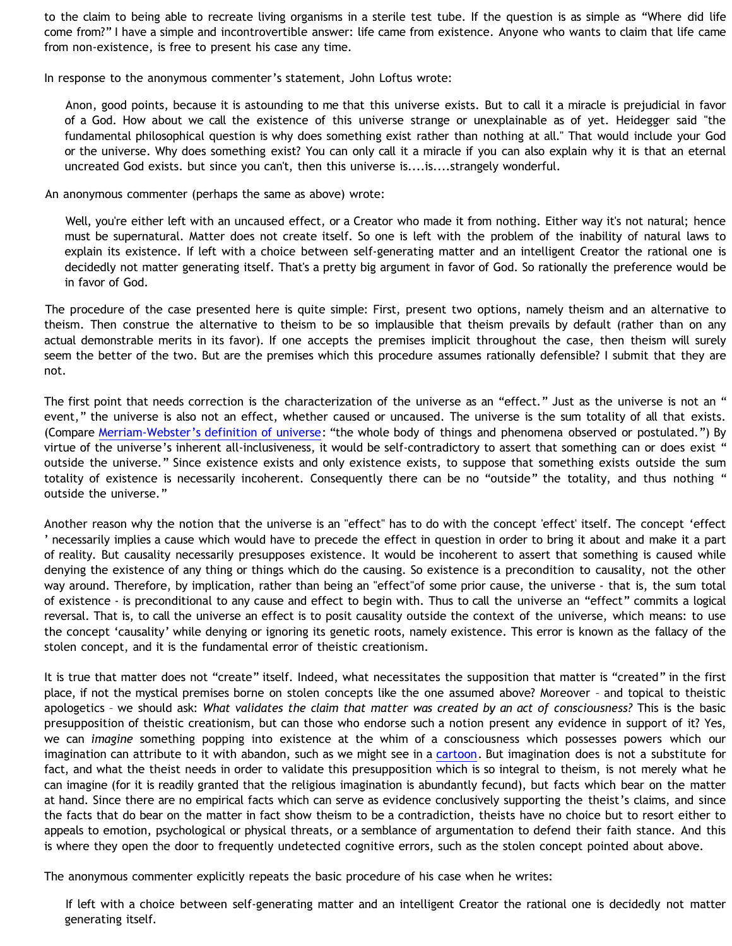to the claim to being able to recreate living organisms in a sterile test tube. If the question is as simple as "Where did life come from?" I have a simple and incontrovertible answer: life came from existence. Anyone who wants to claim that life came from non-existence, is free to present his case any time.

In response to the anonymous commenter's statement, John Loftus wrote:

Anon, good points, because it is astounding to me that this universe exists. But to call it a miracle is prejudicial in favor of a God. How about we call the existence of this universe strange or unexplainable as of yet. Heidegger said "the fundamental philosophical question is why does something exist rather than nothing at all." That would include your God or the universe. Why does something exist? You can only call it a miracle if you can also explain why it is that an eternal uncreated God exists. but since you can't, then this universe is....is....strangely wonderful.

An anonymous commenter (perhaps the same as above) wrote:

Well, you're either left with an uncaused effect, or a Creator who made it from nothing. Either way it's not natural; hence must be supernatural. Matter does not create itself. So one is left with the problem of the inability of natural laws to explain its existence. If left with a choice between self-generating matter and an intelligent Creator the rational one is decidedly not matter generating itself. That's a pretty big argument in favor of God. So rationally the preference would be in favor of God.

The procedure of the case presented here is quite simple: First, present two options, namely theism and an alternative to theism. Then construe the alternative to theism to be so implausible that theism prevails by default (rather than on any actual demonstrable merits in its favor). If one accepts the premises implicit throughout the case, then theism will surely seem the better of the two. But are the premises which this procedure assumes rationally defensible? I submit that they are not.

The first point that needs correction is the characterization of the universe as an "effect." Just as the universe is not an " event," the universe is also not an effect, whether caused or uncaused. The universe is the sum totality of all that exists. (Compare [Merriam-Webster's definition of universe](http://www.m-w.com/dictionary/universe): "the whole body of things and phenomena observed or postulated.") By virtue of the universe's inherent all-inclusiveness, it would be self-contradictory to assert that something can or does exist " outside the universe." Since existence exists and only existence exists, to suppose that something exists outside the sum totality of existence is necessarily incoherent. Consequently there can be no "outside" the totality, and thus nothing " outside the universe."

Another reason why the notion that the universe is an "effect" has to do with the concept 'effect' itself. The concept 'effect ' necessarily implies a cause which would have to precede the effect in question in order to bring it about and make it a part of reality. But causality necessarily presupposes existence. It would be incoherent to assert that something is caused while denying the existence of any thing or things which do the causing. So existence is a precondition to causality, not the other way around. Therefore, by implication, rather than being an "effect"of some prior cause, the universe - that is, the sum total of existence - is preconditional to any cause and effect to begin with. Thus to call the universe an "effect" commits a logical reversal. That is, to call the universe an effect is to posit causality outside the context of the universe, which means: to use the concept 'causality' while denying or ignoring its genetic roots, namely existence. This error is known as the fallacy of the stolen concept, and it is the fundamental error of theistic creationism.

It is true that matter does not "create" itself. Indeed, what necessitates the supposition that matter is "created" in the first place, if not the mystical premises borne on stolen concepts like the one assumed above? Moreover – and topical to theistic apologetics – we should ask: *What validates the claim that matter was created by an act of consciousness?* This is the basic presupposition of theistic creationism, but can those who endorse such a notion present any evidence in support of it? Yes, we can *imagine* something popping into existence at the whim of a consciousness which possesses powers which our imagination can attribute to it with abandon, such as we might see in a [cartoon.](http://www.strongatheism.net/library/atheology/cartoon_universe_of_theism/) But imagination does is not a substitute for fact, and what the theist needs in order to validate this presupposition which is so integral to theism, is not merely what he can imagine (for it is readily granted that the religious imagination is abundantly fecund), but facts which bear on the matter at hand. Since there are no empirical facts which can serve as evidence conclusively supporting the theist's claims, and since the facts that do bear on the matter in fact show theism to be a contradiction, theists have no choice but to resort either to appeals to emotion, psychological or physical threats, or a semblance of argumentation to defend their faith stance. And this is where they open the door to frequently undetected cognitive errors, such as the stolen concept pointed about above.

The anonymous commenter explicitly repeats the basic procedure of his case when he writes:

If left with a choice between self-generating matter and an intelligent Creator the rational one is decidedly not matter generating itself.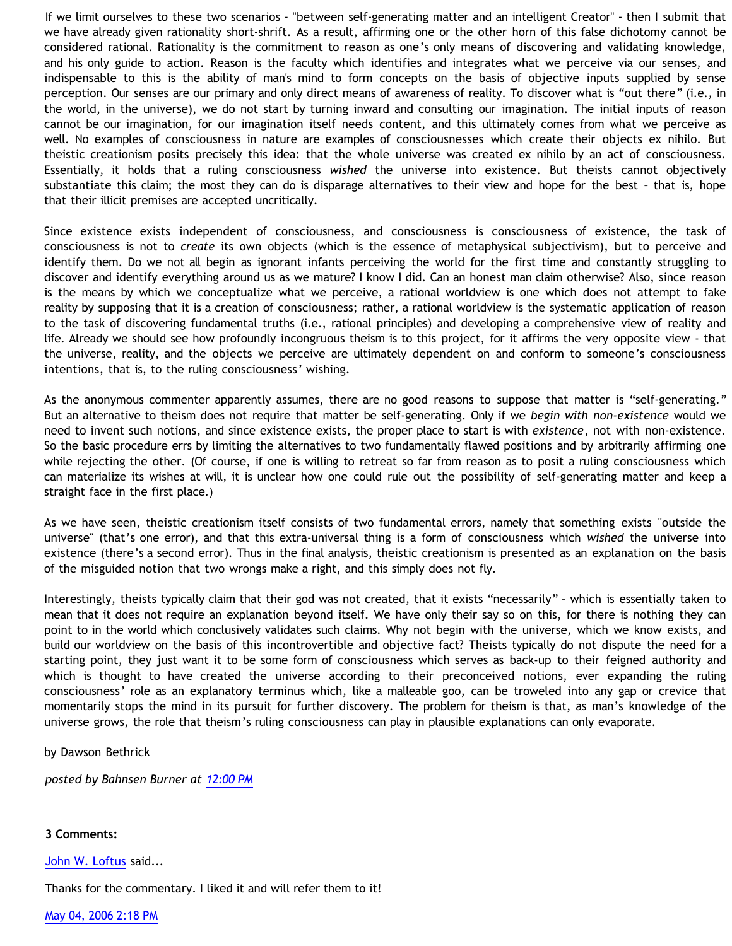If we limit ourselves to these two scenarios - "between self-generating matter and an intelligent Creator" - then I submit that we have already given rationality short-shrift. As a result, affirming one or the other horn of this false dichotomy cannot be considered rational. Rationality is the commitment to reason as one's only means of discovering and validating knowledge, and his only guide to action. Reason is the faculty which identifies and integrates what we perceive via our senses, and indispensable to this is the ability of man's mind to form concepts on the basis of objective inputs supplied by sense perception. Our senses are our primary and only direct means of awareness of reality. To discover what is "out there" (i.e., in the world, in the universe), we do not start by turning inward and consulting our imagination. The initial inputs of reason cannot be our imagination, for our imagination itself needs content, and this ultimately comes from what we perceive as well. No examples of consciousness in nature are examples of consciousnesses which create their objects ex nihilo. But theistic creationism posits precisely this idea: that the whole universe was created ex nihilo by an act of consciousness. Essentially, it holds that a ruling consciousness *wished* the universe into existence. But theists cannot objectively substantiate this claim; the most they can do is disparage alternatives to their view and hope for the best – that is, hope that their illicit premises are accepted uncritically.

Since existence exists independent of consciousness, and consciousness is consciousness of existence, the task of consciousness is not to *create* its own objects (which is the essence of metaphysical subjectivism), but to perceive and identify them. Do we not all begin as ignorant infants perceiving the world for the first time and constantly struggling to discover and identify everything around us as we mature? I know I did. Can an honest man claim otherwise? Also, since reason is the means by which we conceptualize what we perceive, a rational worldview is one which does not attempt to fake reality by supposing that it is a creation of consciousness; rather, a rational worldview is the systematic application of reason to the task of discovering fundamental truths (i.e., rational principles) and developing a comprehensive view of reality and life. Already we should see how profoundly incongruous theism is to this project, for it affirms the very opposite view - that the universe, reality, and the objects we perceive are ultimately dependent on and conform to someone's consciousness intentions, that is, to the ruling consciousness' wishing.

As the anonymous commenter apparently assumes, there are no good reasons to suppose that matter is "self-generating." But an alternative to theism does not require that matter be self-generating. Only if we *begin with non-existence* would we need to invent such notions, and since existence exists, the proper place to start is with *existence*, not with non-existence. So the basic procedure errs by limiting the alternatives to two fundamentally flawed positions and by arbitrarily affirming one while rejecting the other. (Of course, if one is willing to retreat so far from reason as to posit a ruling consciousness which can materialize its wishes at will, it is unclear how one could rule out the possibility of self-generating matter and keep a straight face in the first place.)

As we have seen, theistic creationism itself consists of two fundamental errors, namely that something exists "outside the universe" (that's one error), and that this extra-universal thing is a form of consciousness which *wished* the universe into existence (there's a second error). Thus in the final analysis, theistic creationism is presented as an explanation on the basis of the misguided notion that two wrongs make a right, and this simply does not fly.

Interestingly, theists typically claim that their god was not created, that it exists "necessarily" – which is essentially taken to mean that it does not require an explanation beyond itself. We have only their say so on this, for there is nothing they can point to in the world which conclusively validates such claims. Why not begin with the universe, which we know exists, and build our worldview on the basis of this incontrovertible and objective fact? Theists typically do not dispute the need for a starting point, they just want it to be some form of consciousness which serves as back-up to their feigned authority and which is thought to have created the universe according to their preconceived notions, ever expanding the ruling consciousness' role as an explanatory terminus which, like a malleable goo, can be troweled into any gap or crevice that momentarily stops the mind in its pursuit for further discovery. The problem for theism is that, as man's knowledge of the universe grows, the role that theism's ruling consciousness can play in plausible explanations can only evaporate.

by Dawson Bethrick

*posted by Bahnsen Burner at [12:00 PM](http://bahnsenburner.blogspot.com/2006/05/basic-contra-theism.html)*

## **3 Comments:**

[John W. Loftus](http://www.blogger.com/profile/11138734) said...

Thanks for the commentary. I liked it and will refer them to it!

[May 04, 2006 2:18 PM](http://bahnsenburner.blogspot.com/2006/05/114677749876733018)